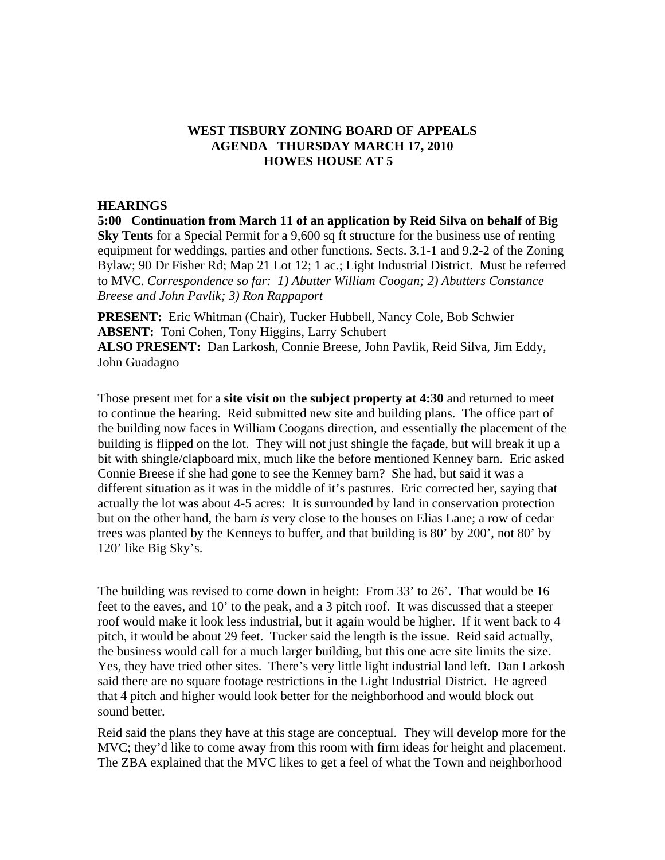# **WEST TISBURY ZONING BOARD OF APPEALS AGENDA THURSDAY MARCH 17, 2010 HOWES HOUSE AT 5**

## **HEARINGS**

**5:00 Continuation from March 11 of an application by Reid Silva on behalf of Big Sky Tents** for a Special Permit for a 9,600 sq ft structure for the business use of renting equipment for weddings, parties and other functions. Sects. 3.1-1 and 9.2-2 of the Zoning Bylaw; 90 Dr Fisher Rd; Map 21 Lot 12; 1 ac.; Light Industrial District. Must be referred to MVC. *Correspondence so far: 1) Abutter William Coogan; 2) Abutters Constance Breese and John Pavlik; 3) Ron Rappaport* 

**PRESENT:** Eric Whitman (Chair), Tucker Hubbell, Nancy Cole, Bob Schwier **ABSENT:** Toni Cohen, Tony Higgins, Larry Schubert **ALSO PRESENT:** Dan Larkosh, Connie Breese, John Pavlik, Reid Silva, Jim Eddy, John Guadagno

Those present met for a **site visit on the subject property at 4:30** and returned to meet to continue the hearing. Reid submitted new site and building plans. The office part of the building now faces in William Coogans direction, and essentially the placement of the building is flipped on the lot. They will not just shingle the façade, but will break it up a bit with shingle/clapboard mix, much like the before mentioned Kenney barn. Eric asked Connie Breese if she had gone to see the Kenney barn? She had, but said it was a different situation as it was in the middle of it's pastures. Eric corrected her, saying that actually the lot was about 4-5 acres: It is surrounded by land in conservation protection but on the other hand, the barn *is* very close to the houses on Elias Lane; a row of cedar trees was planted by the Kenneys to buffer, and that building is 80' by 200', not 80' by 120' like Big Sky's.

The building was revised to come down in height: From 33' to 26'. That would be 16 feet to the eaves, and 10' to the peak, and a 3 pitch roof. It was discussed that a steeper roof would make it look less industrial, but it again would be higher. If it went back to 4 pitch, it would be about 29 feet. Tucker said the length is the issue. Reid said actually, the business would call for a much larger building, but this one acre site limits the size. Yes, they have tried other sites. There's very little light industrial land left. Dan Larkosh said there are no square footage restrictions in the Light Industrial District. He agreed that 4 pitch and higher would look better for the neighborhood and would block out sound better.

Reid said the plans they have at this stage are conceptual. They will develop more for the MVC; they'd like to come away from this room with firm ideas for height and placement. The ZBA explained that the MVC likes to get a feel of what the Town and neighborhood